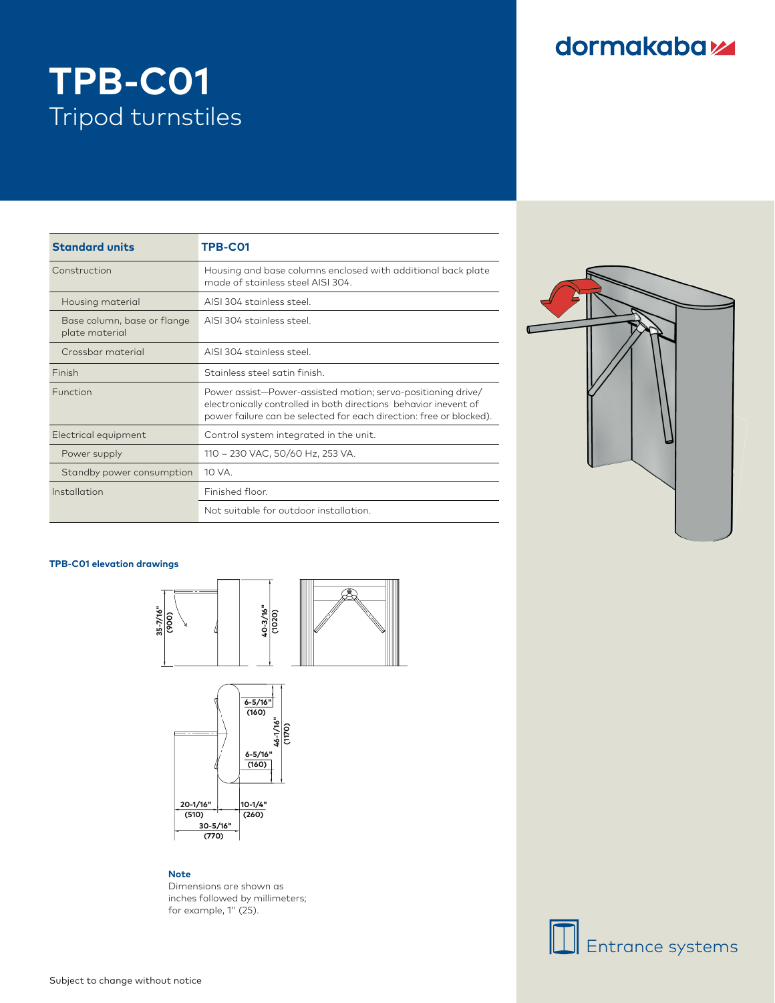### dormakabaz

# **TPB-C01** Tripod turnstiles

| <b>Standard units</b>                         | TPB-C01                                                                                                                                                                                                 |
|-----------------------------------------------|---------------------------------------------------------------------------------------------------------------------------------------------------------------------------------------------------------|
| Construction                                  | Housing and base columns enclosed with additional back plate<br>made of stainless steel AISI 304.                                                                                                       |
| Housing material                              | AISI 304 stainless steel.                                                                                                                                                                               |
| Base column, base or flange<br>plate material | AISI 304 stainless steel                                                                                                                                                                                |
| Crossbar material                             | AISI 304 stainless steel.                                                                                                                                                                               |
| Finish                                        | Stainless steel satin finish                                                                                                                                                                            |
| Function                                      | Power assist-Power-assisted motion; servo-positioning drive/<br>electronically controlled in both directions behavior inevent of<br>power failure can be selected for each direction: free or blocked). |
| Electrical equipment                          | Control system integrated in the unit.                                                                                                                                                                  |
| Power supply                                  | 110 - 230 VAC, 50/60 Hz, 253 VA.                                                                                                                                                                        |
| Standby power consumption                     | 10 VA.                                                                                                                                                                                                  |
| Installation                                  | Finished floor.                                                                                                                                                                                         |
|                                               | Not suitable for outdoor installation.                                                                                                                                                                  |



#### **TPB-C01 elevation drawings**





#### **Note**

Dimensions are shown as inches followed by millimeters; for example, 1" (25).